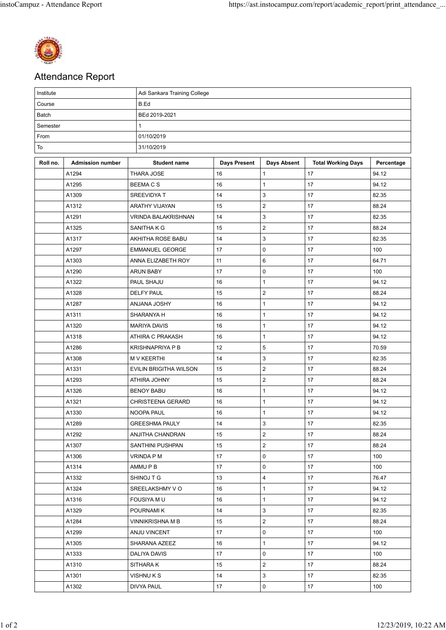

## Attendance Report

| Institute |                         | Adi Sankara Training College |                     |                         |                           |            |  |  |  |
|-----------|-------------------------|------------------------------|---------------------|-------------------------|---------------------------|------------|--|--|--|
| Course    |                         | B.Ed                         |                     |                         |                           |            |  |  |  |
| Batch     |                         | BEd 2019-2021                |                     |                         |                           |            |  |  |  |
| Semester  |                         | 1                            |                     |                         |                           |            |  |  |  |
| From      |                         | 01/10/2019                   |                     |                         |                           |            |  |  |  |
| To        |                         | 31/10/2019                   |                     |                         |                           |            |  |  |  |
| Roll no.  | <b>Admission number</b> | <b>Student name</b>          | <b>Days Present</b> | <b>Days Absent</b>      | <b>Total Working Days</b> | Percentage |  |  |  |
|           | A1294                   | <b>THARA JOSE</b>            | 16                  | $\mathbf{1}$            | 17                        | 94.12      |  |  |  |
|           | A1295                   | <b>BEEMACS</b>               | 16                  | 1                       | 17                        | 94.12      |  |  |  |
|           | A1309                   | SREEVIDYA T                  | 14                  | 3                       | 17                        | 82.35      |  |  |  |
|           | A1312                   | ARATHY VIJAYAN               | 15                  | $\overline{c}$          | 17                        | 88.24      |  |  |  |
|           | A1291                   | VRINDA BALAKRISHNAN          | 14                  | 3                       | 17                        | 82.35      |  |  |  |
|           | A1325                   | SANITHA K G                  | 15                  | $\overline{2}$          | 17                        | 88.24      |  |  |  |
|           | A1317                   | AKHITHA ROSE BABU            | 14                  | 3                       | 17                        | 82.35      |  |  |  |
|           | A1297                   | <b>EMMANUEL GEORGE</b>       | 17                  | 0                       | 17                        | 100        |  |  |  |
|           | A1303                   | ANNA ELIZABETH ROY           | 11                  | 6                       | 17                        | 64.71      |  |  |  |
|           | A1290                   | <b>ARUN BABY</b>             | 17                  | 0                       | 17                        | 100        |  |  |  |
|           | A1322                   | PAUL SHAJU                   | 16                  | $\mathbf{1}$            | 17                        | 94.12      |  |  |  |
|           | A1328                   | <b>DELFY PAUL</b>            | 15                  | $\overline{\mathbf{c}}$ | 17                        | 88.24      |  |  |  |
|           | A1287                   | <b>ANJANA JOSHY</b>          | 16                  | $\mathbf{1}$            | 17                        | 94.12      |  |  |  |
|           | A1311                   | SHARANYA H                   | 16                  | $\mathbf{1}$            | 17                        | 94.12      |  |  |  |
|           | A1320                   | <b>MARIYA DAVIS</b>          | 16                  | $\mathbf{1}$            | 17                        | 94.12      |  |  |  |
|           | A1318                   | ATHIRA C PRAKASH             | 16                  | $\mathbf{1}$            | 17                        | 94.12      |  |  |  |
|           | A1286                   | <b>KRISHNAPRIYA P B</b>      | 12                  | 5                       | 17                        | 70.59      |  |  |  |
|           | A1308                   | <b>M V KEERTHI</b>           | 14                  | 3                       | 17                        | 82.35      |  |  |  |
|           | A1331                   | EVILIN BRIGITHA WILSON       | 15                  | $\overline{2}$          | 17                        | 88.24      |  |  |  |
|           | A1293                   | ATHIRA JOHNY                 | 15                  | $\overline{\mathbf{c}}$ | 17                        | 88.24      |  |  |  |
|           | A1326                   | <b>BENOY BABU</b>            | 16                  | 1                       | 17                        | 94.12      |  |  |  |
|           | A1321                   | CHRISTEENA GERARD            | 16                  | $\mathbf{1}$            | 17                        | 94.12      |  |  |  |
|           | A1330                   | NOOPA PAUL                   | 16                  | $\mathbf{1}$            | 17                        | 94.12      |  |  |  |
|           | A1289                   | <b>GREESHMA PAULY</b>        | 14                  | 3                       | 17                        | 82.35      |  |  |  |
|           | A1292                   | <b>ANJITHA CHANDRAN</b>      | 15                  | $\overline{2}$          | 17                        | 88.24      |  |  |  |
|           | A1307                   | SANTHINI PUSHPAN             | 15                  | $\overline{c}$          | 17                        | 88.24      |  |  |  |
|           | A1306                   | VRINDA P M                   | 17                  | 0                       | 17                        | 100        |  |  |  |
|           | A1314                   | AMMU P B                     | 17                  | 0                       | 17                        | 100        |  |  |  |
|           | A1332                   | SHINOJ T G                   | 13                  | 4                       | 17                        | 76.47      |  |  |  |
|           | A1324                   | SREELAKSHMY VO               | 16                  | $\mathbf{1}$            | 17                        | 94.12      |  |  |  |
|           | A1316                   | FOUSIYA M U                  | 16                  | $\mathbf{1}$            | 17                        | 94.12      |  |  |  |
|           | A1329                   | POURNAMI K                   | 14                  | 3                       | 17                        | 82.35      |  |  |  |
|           | A1284                   | VINNIKRISHNA M B             | 15                  | $\overline{c}$          | 17                        | 88.24      |  |  |  |
|           | A1299                   | ANJU VINCENT                 | 17                  | 0                       | 17                        | 100        |  |  |  |
|           | A1305                   | SHARANA AZEEZ                | 16                  | $\mathbf{1}$            | 17                        | 94.12      |  |  |  |
|           | A1333                   | DALIYA DAVIS                 | 17                  | 0                       | 17                        | 100        |  |  |  |
|           | A1310                   | SITHARA K                    | 15                  | $\overline{2}$          | 17                        | 88.24      |  |  |  |
|           | A1301                   | VISHNU K S                   | 14                  | 3                       | 17                        | 82.35      |  |  |  |
|           | A1302                   | DIVYA PAUL                   | 17                  | 0                       | 17                        | 100        |  |  |  |